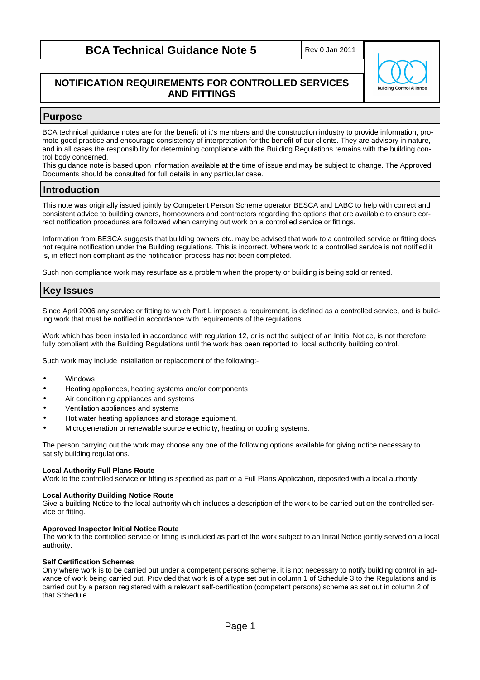## **BCA Technical Guidance Note 5**

Rev 0 Jan 2011

## **NOTIFICATION REQUIREMENTS FOR CONTROLLED SERVICES AND FITTINGS**

# **Building Control Allianc**

## **Purpose**

BCA technical guidance notes are for the benefit of it's members and the construction industry to provide information, promote good practice and encourage consistency of interpretation for the benefit of our clients. They are advisory in nature, and in all cases the responsibility for determining compliance with the Building Regulations remains with the building control body concerned.

This guidance note is based upon information available at the time of issue and may be subject to change. The Approved Documents should be consulted for full details in any particular case.

### **Introduction**

This note was originally issued jointly by Competent Person Scheme operator BESCA and LABC to help with correct and consistent advice to building owners, homeowners and contractors regarding the options that are available to ensure correct notification procedures are followed when carrying out work on a controlled service or fittings.

Information from BESCA suggests that building owners etc. may be advised that work to a controlled service or fitting does not require notification under the Building regulations. This is incorrect. Where work to a controlled service is not notified it is, in effect non compliant as the notification process has not been completed.

Such non compliance work may resurface as a problem when the property or building is being sold or rented.

## **Key Issues**

Since April 2006 any service or fitting to which Part L imposes a requirement, is defined as a controlled service, and is building work that must be notified in accordance with requirements of the regulations.

Work which has been installed in accordance with regulation 12, or is not the subject of an Initial Notice, is not therefore fully compliant with the Building Regulations until the work has been reported to local authority building control.

Such work may include installation or replacement of the following:-

- Windows
- Heating appliances, heating systems and/or components
- Air conditioning appliances and systems
- Ventilation appliances and systems
- Hot water heating appliances and storage equipment.
- Microgeneration or renewable source electricity, heating or cooling systems.

The person carrying out the work may choose any one of the following options available for giving notice necessary to satisfy building regulations.

#### **Local Authority Full Plans Route**

Work to the controlled service or fitting is specified as part of a Full Plans Application, deposited with a local authority.

#### **Local Authority Building Notice Route**

Give a building Notice to the local authority which includes a description of the work to be carried out on the controlled service or fitting.

#### **Approved Inspector Initial Notice Route**

The work to the controlled service or fitting is included as part of the work subject to an Initail Notice jointly served on a local authority.

#### **Self Certification Schemes**

Only where work is to be carried out under a competent persons scheme, it is not necessary to notify building control in advance of work being carried out. Provided that work is of a type set out in column 1 of Schedule 3 to the Regulations and is carried out by a person registered with a relevant self-certification (competent persons) scheme as set out in column 2 of that Schedule.